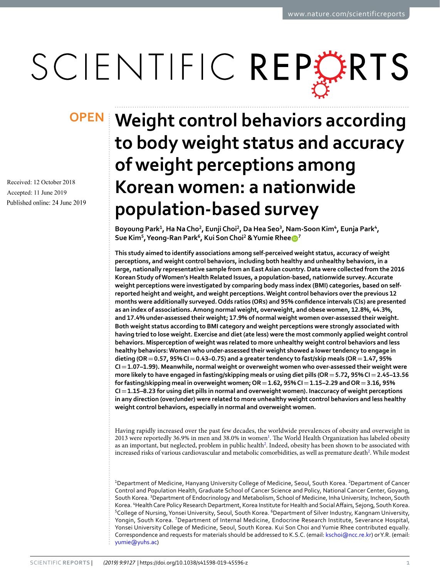# SCIENTIFIC REPERTS

Received: 12 October 2018 Accepted: 11 June 2019 Published online: 24 June 2019

## **Weight control behaviors according OPENto body weight status and accuracy of weight perceptions among Korean women: a nationwide population-based survey**

**Boyoung Park<sup>1</sup>, Ha Na Cho<sup>2</sup>, EunjiChoi <sup>2</sup>, Da Hea Seo<sup>3</sup>, Nam-Soon Kim<sup>4</sup>, Eunja Park<sup>4</sup>, Sue Kim<sup>5</sup>, Yeong-Ran Park<sup>6</sup>, Kui Son Choi <sup>2</sup> & Yumie Rhee <sup>7</sup>**

**This study aimed to identify associations among self-perceived weight status, accuracy of weight perceptions, and weight control behaviors, including both healthy and unhealthy behaviors, in a large, nationally representative sample from an East Asian country. Data were collected from the 2016 Korean Study of Women's Health Related Issues, a population-based, nationwide survey. Accurate weight perceptions were investigated by comparing body mass index (BMI) categories, based on selfreported height and weight, and weight perceptions. Weight control behaviors over the previous 12 months were additionally surveyed. Odds ratios (ORs) and 95% confdence intervals (CIs) are presented as an index of associations. Among normal weight, overweight, and obese women, 12.8%, 44.3%, and 17.4% under-assessed their weight; 17.9% of normal weight women over-assessed their weight. Both weight status according to BMI category and weight perceptions were strongly associated with having tried to lose weight. Exercise and diet (ate less) were the most commonly applied weight control behaviors. Misperception of weight was related to more unhealthy weight control behaviors and less healthy behaviors: Women who under-assessed their weight showed a lower tendency to engage in dieting (OR=0.57, 95% CI=0.43–0.75) and a greater tendency to fast/skip meals (OR=1.47, 95% CI=1.07–1.99). Meanwhile, normal weight or overweight women who over-assessed their weight were more likely to have engaged in fasting/skipping meals or using diet pills (OR=5.72, 95% CI=2.45–13.56 for fasting/skipping meal in overweight women; OR=1.62, 95% CI=1.15–2.29 and OR=3.16, 95% CI=1.15–8.23 for using diet pills in normal and overweight women). Inaccuracy of weight perceptions in any direction (over/under) were related to more unhealthy weight control behaviors and less healthy weight control behaviors, especially in normal and overweight women.**

Having rapidly increased over the past few decades, the worldwide prevalences of obesity and overweight in 2013 were reportedly 36.9% in men and 38.0% in women<sup>1</sup>. The World Health Organization has labeled obesity as an important, but neglected, problem in public health<sup>2</sup>. Indeed, obesity has been shown to be associated with increased risks of various cardiovascular and metabolic comorbidities, as well as premature death<sup>2</sup>. While modest

<sup>1</sup>Department of Medicine, Hanyang University College of Medicine, Seoul, South Korea. <sup>2</sup>Department of Cancer Control and Population Health, Graduate School of Cancer Science and Policy, National Cancer Center, Goyang, South Korea. <sup>3</sup> Department of Endocrinology and Metabolism, School of Medicine, Inha University, Incheon, South Korea. <sup>4</sup>Health Care Policy Research Department, Korea Institute for Health and Social Affairs, Sejong, South Korea. <sup>5</sup>College of Nursing, Yonsei University, Seoul, South Korea. <sup>6</sup>Department of Silver Industry, Kangnam University, Yongin, South Korea. <sup>7</sup>Department of Internal Medicine, Endocrine Research Institute, Severance Hospital, Yonsei University College of Medicine, Seoul, South Korea. Kui Son Choi and Yumie Rhee contributed equally. Correspondence and requests for materials should be addressed to K.S.C. (email: [kschoi@ncc.re.kr\)](mailto:kschoi@ncc.re.kr) or Y.R. (email: [yumie@yuhs.ac\)](mailto:yumie@yuhs.ac)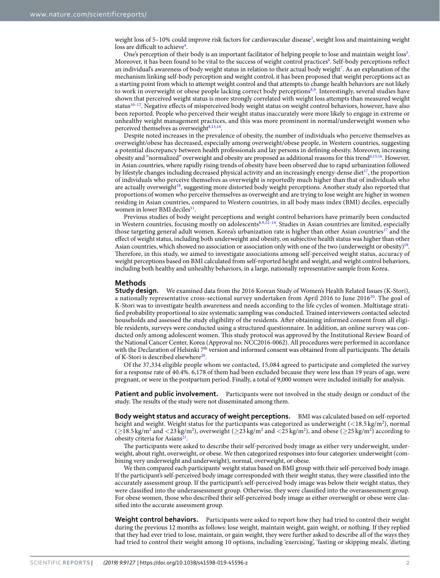weight loss of 5-10% could improve risk factors for cardiovascular disease<sup>[3](#page-6-2)</sup>, weight loss and maintaining weight loss are difficult to achieve<sup>4</sup>.

One's perception of their body is an important facilitator of helping people to lose and maintain weight loss<sup>[5](#page-6-4)</sup>. Moreover, it has been found to be vital to the success of weight control practices<sup>[6](#page-6-5)</sup>. Self-body perceptions reflect an individual's awareness of body weight status in relation to their actual body weight<sup>[7](#page-6-6)</sup>. As an explanation of the mechanism linking self-body perception and weight control, it has been proposed that weight perceptions act as a starting point from which to attempt weight control and that attempts to change health behaviors are not likely to work in overweight or obese people lacking correct body perception[s8](#page-6-7),[9](#page-6-8). Interestingly, several studies have shown that perceived weight status is more strongly correlated with weight loss attempts than measured weight status<sup>10–12</sup>. Negative effects of misperceived body weight status on weight control behaviors, however, have also been reported. People who perceived their weight status inaccurately were more likely to engage in extreme or unhealthy weight management practices, and this was more prominent in normal/underweight women who perceived themselves as overweight $8,13,14$  $8,13,14$  $8,13,14$ .

Despite noted increases in the prevalence of obesity, the number of individuals who perceive themselves as overweight/obese has decreased, especially among overweight/obese people, in Western countries, suggesting a potential discrepancy between health professionals and lay persons in defning obesity. Moreover, increasing obesity and "normalized" overweight and obesity are proposed as additional reasons for this trend<sup>[6](#page-6-5),[15](#page-6-13),[16](#page-6-14)</sup>. However, in Asian countries, where rapidly rising trends of obesity have been observed due to rapid urbanization followed by lifestyle changes including decreased physical activity and an increasingly energy-dense diet<sup>17</sup>, the proportion of individuals who perceive themselves as overweight is reportedly much higher than that of individuals who are actually overweight<sup>18</sup>, suggesting more distorted body weight perceptions. Another study also reported that proportions of women who perceive themselves as overweight and are trying to lose weight are higher in women residing in Asian countries, compared to Western countries, in all body mass index (BMI) deciles, especially women in lower BMI deciles<sup>[11](#page-6-17)</sup>.

Previous studies of body weight perceptions and weight control behaviors have primarily been conducted in Western countries, focusing mostly on adolescents<sup>8,[9,](#page-6-8)[12–](#page-6-10)[14](#page-6-12)</sup>. Studies in Asian countries are limited, especially those targeting general adult women. Korea's urbanization rate is higher than other Asian countries<sup>17</sup> and the efect of weight status, including both underweight and obesity, on subjective health status was higher than other Asian countries, which showed no association or association only with one of the two (underweight or obesity)<sup>19</sup>. Therefore, in this study, we aimed to investigate associations among self-perceived weight status, accuracy of weight perceptions based on BMI calculated from self-reported height and weight, and weight control behaviors, including both healthy and unhealthy behaviors, in a large, nationally representative sample from Korea.

### **Methods**

**Study design.** We examined data from the 2016 Korean Study of Women's Health Related Issues (K-Stori), a nationally representative cross-sectional survey undertaken from April 2016 to June 2016<sup>20</sup>. The goal of K-Stori was to investigate health awareness and needs according to the life cycles of women. Multistage stratifed probability proportional to size systematic sampling was conducted. Trained interviewers contacted selected households and assessed the study eligibility of the residents. Afer obtaining informed consent from all eligible residents, surveys were conducted using a structured questionnaire. In addition, an online survey was conducted only among adolescent women. This study protocol was approved by the Institutional Review Board of the National Cancer Center, Korea (Approval no: NCC2016-0062). All procedures were performed in accordance with the Declaration of Helsinki  $7<sup>th</sup>$  version and informed consent was obtained from all participants. The details of K-Stori is described elsewhere $20$ .

Of the 37,334 eligible people whom we contacted, 15,084 agreed to participate and completed the survey for a response rate of 40.4%. 6,178 of them had been excluded because they were less than 19 years of age, were pregnant, or were in the postpartum period. Finally, a total of 9,000 women were included initially for analysis.

Patient and public involvement. Participants were not involved in the study design or conduct of the study. The results of the study were not disseminated among them.

**Body weight status and accuracy of weight perceptions.** BMI was calculated based on self-reported height and weight. Weight status for the participants was categorized as underweight  $\rm{(<}18.5\,kg/m^{2})$ , normal  $(\geq$ 18.5 kg/m<sup>2</sup> and  $\lt$ 23 kg/m<sup>2</sup>), overweight  $(\geq$ 23 kg/m<sup>2</sup> and  $\lt$ 25 kg/m<sup>2</sup>), and obese  $(\geq$ 25 kg/m<sup>2</sup>) according to obesity criteria for Asians<sup>[21](#page-6-20)</sup>

The participants were asked to describe their self-perceived body image as either very underweight, underweight, about right, overweight, or obese. We then categorized responses into four categories: underweight (combining very underweight and underweight), normal, overweight, or obese.

We then compared each participants' weight status based on BMI group with their self-perceived body image. If the participant's self-perceived body image corresponded with their weight status, they were classifed into the accurately assessment group. If the participant's self-perceived body image was below their weight status, they were classifed into the underassessment group. Otherwise, they were classifed into the overassessment group. For obese women, those who described their self-perceived body image as either overweight or obese were classifed into the accurate assessment group.

Weight control behaviors. Participants were asked to report how they had tried to control their weight during the previous 12 months as follows: lose weight, maintain weight, gain weight, or nothing. If they replied that they had ever tried to lose, maintain, or gain weight, they were further asked to describe all of the ways they had tried to control their weight among 10 options, including 'exercising', 'fasting or skipping meals', 'dieting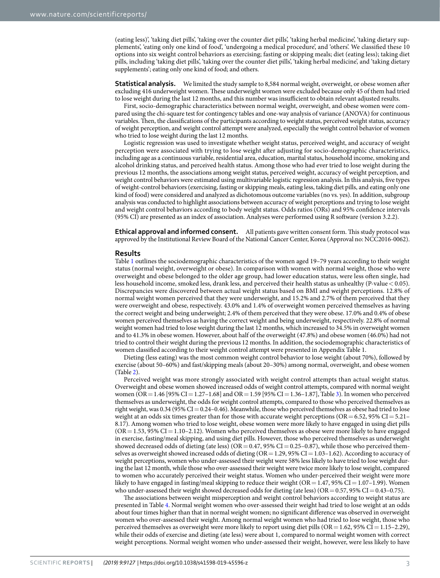(eating less)', 'taking diet pills', 'taking over the counter diet pills', 'taking herbal medicine', 'taking dietary supplements', 'eating only one kind of food', 'undergoing a medical procedure', and 'others'. We classifed these 10 options into six weight control behaviors as exercising; fasting or skipping meals; diet (eating less); taking diet pills, including 'taking diet pills', 'taking over the counter diet pills', 'taking herbal medicine', and 'taking dietary supplements'; eating only one kind of food; and others.

**Statistical analysis.** We limited the study sample to 8,584 normal weight, overweight, or obese women after excluding 416 underweight women. These underweight women were excluded because only 45 of them had tried to lose weight during the last 12 months, and this number was insufficient to obtain relevant adjusted results.

First, socio-demographic characteristics between normal weight, overweight, and obese women were compared using the chi-square test for contingency tables and one-way analysis of variance (ANOVA) for continuous variables. Then, the classifications of the participants according to weight status, perceived weight status, accuracy of weight perception, and weight control attempt were analyzed, especially the weight control behavior of women who tried to lose weight during the last 12 months.

Logistic regression was used to investigate whether weight status, perceived weight, and accuracy of weight perception were associated with trying to lose weight afer adjusting for socio-demographic characteristics, including age as a continuous variable, residential area, education, marital status, household income, smoking and alcohol drinking status, and perceived health status. Among those who had ever tried to lose weight during the previous 12 months, the associations among weight status, perceived weight, accuracy of weight perception, and weight control behaviors were estimated using multivariable logistic regression analysis. In this analysis, fve types of weight-control behaviors (exercising, fasting or skipping meals, eating less, taking diet pills, and eating only one kind of food) were considered and analyzed as dichotomous outcome variables (no vs. yes). In addition, subgroup analysis was conducted to highlight associations between accuracy of weight perceptions and trying to lose weight and weight control behaviors according to body weight status. Odds ratios (ORs) and 95% confdence intervals (95% CI) are presented as an index of association. Analyses were performed using R sofware (version 3.2.2).

**Ethical approval and informed consent.** All patients gave written consent form. This study protocol was approved by the Institutional Review Board of the National Cancer Center, Korea (Approval no: NCC2016-0062).

#### **Results**

Table [1](#page-3-0) outlines the sociodemographic characteristics of the women aged 19–79 years according to their weight status (normal weight, overweight or obese). In comparison with women with normal weight, those who were overweight and obese belonged to the older age group, had lower education status, were less ofen single, had less household income, smoked less, drank less, and perceived their health status as unhealthy (P-value  $<$  0.05). Discrepancies were discovered between actual weight status based on BMI and weight perceptions. 12.8% of normal weight women perceived that they were underweight, and 15.2% and 2.7% of them perceived that they were overweight and obese, respectively. 43.0% and 1.4% of overweight women perceived themselves as having the correct weight and being underweight; 2.4% of them perceived that they were obese. 17.0% and 0.4% of obese women perceived themselves as having the correct weight and being underweight, respectively. 22.8% of normal weight women had tried to lose weight during the last 12 months, which increased to 34.5% in overweight women and to 41.3% in obese women. However, about half of the overweight (47.8%) and obese women (46.0%) had not tried to control their weight during the previous 12 months. In addition, the sociodemographic characteristics of women classifed according to their weight control attempt were presented in Appendix Table 1.

Dieting (less eating) was the most common weight control behavior to lose weight (about 70%), followed by exercise (about 50–60%) and fast/skipping meals (about 20–30%) among normal, overweight, and obese women (Table [2](#page-4-0)).

Perceived weight was more strongly associated with weight control attempts than actual weight status. Overweight and obese women showed increased odds of weight control attempts, compared with normal weight women (OR = 1.46 [95% CI = 1.27–1.68] and OR = 1.59 [95% CI = 1.36–1.87], Table [3\)](#page-4-1). In women who perceived themselves as underweight, the odds for weight control attempts, compared to those who perceived themselves as right weight, was  $0.34$  (95% CI =  $0.24$ –0.46). Meanwhile, those who perceived themselves as obese had tried to lose weight at an odds six times greater than for those with accurate weight perceptions ( $OR = 6.52$ , 95%  $CI = 5.21$ – 8.17). Among women who tried to lose weight, obese women were more likely to have engaged in using diet pills  $(OR = 1.53, 95\% CI = 1.10-2.12)$ . Women who perceived themselves as obese were more likely to have engaged in exercise, fasting/meal skipping, and using diet pills. However, those who perceived themselves as underweight showed decreased odds of dieting (ate less) (OR = 0.47, 95% CI = 0.25–0.87), while those who perceived themselves as overweight showed increased odds of dieting  $(OR = 1.29, 95\% CI = 1.03-1.62)$ . According to accuracy of weight perceptions, women who under-assessed their weight were 58% less likely to have tried to lose weight during the last 12 month, while those who over-assessed their weight were twice more likely to lose weight, compared to women who accurately perceived their weight status. Women who under-perceived their weight were more likely to have engaged in fasting/meal skipping to reduce their weight ( $OR = 1.47$ , 95% CI=1.07–1.99). Women who under-assessed their weight showed decreased odds for dieting (ate less) (OR =  $0.57$ ,  $95\%$  CI =  $0.43$ – $0.75$ ).

The associations between weight misperception and weight control behaviors according to weight status are presented in Table [4.](#page-4-2) Normal weight women who over-assessed their weight had tried to lose weight at an odds about four times higher than that in normal weight women; no signifcant diference was observed in overweight women who over-assessed their weight. Among normal weight women who had tried to lose weight, those who perceived themselves as overweight were more likely to report using diet pills  $(OR=1.62, 95\% \text{ CI} = 1.15-2.29)$ , while their odds of exercise and dieting (ate less) were about 1, compared to normal weight women with correct weight perceptions. Normal weight women who under-assessed their weight, however, were less likely to have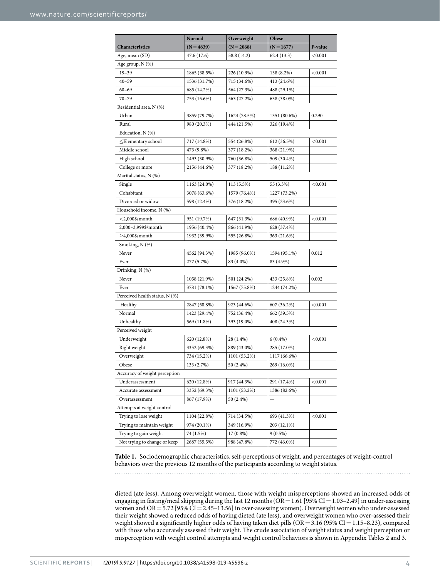<span id="page-3-0"></span>

|                                | Normal       | Overweight   | Obese        |            |  |  |  |  |  |
|--------------------------------|--------------|--------------|--------------|------------|--|--|--|--|--|
| Characteristics                | $(N=4839)$   | $(N = 2068)$ | $(N = 1677)$ | P-value    |  |  |  |  |  |
| Age, mean (SD)                 | 47.6 (17.6)  | 58.8 (14.2)  | 62.4(13.3)   | < 0.001    |  |  |  |  |  |
| Age group, N (%)               |              |              |              |            |  |  |  |  |  |
| $19 - 39$                      | 1865 (38.5%) | 226 (10.9%)  | 138 (8.2%)   | < 0.001    |  |  |  |  |  |
| $40 - 59$                      | 1536 (31.7%) | 715 (34.6%)  | 413 (24.6%)  |            |  |  |  |  |  |
| $60 - 69$                      | 685 (14.2%)  | 564 (27.3%)  | 488 (29.1%)  |            |  |  |  |  |  |
| $70 - 79$                      | 753 (15.6%)  | 563 (27.2%)  | 638 (38.0%)  |            |  |  |  |  |  |
| Residential area, N (%)        |              |              |              |            |  |  |  |  |  |
| Urban                          | 3859 (79.7%) | 1624 (78.5%) | 1351 (80.6%) | 0.290      |  |  |  |  |  |
| Rural                          | 980 (20.3%)  | 444 (21.5%)  | 326 (19.4%)  |            |  |  |  |  |  |
| Education, N (%)               |              |              |              |            |  |  |  |  |  |
| $\leq$ Elementary school       | 717 (14.8%)  | 554 (26.8%)  | 612 (36.5%)  | < 0.001    |  |  |  |  |  |
| Middle school                  | 473 (9.8%)   | 377 (18.2%)  | 368 (21.9%)  |            |  |  |  |  |  |
| High school                    | 1493 (30.9%) | 760 (36.8%)  | 509 (30.4%)  |            |  |  |  |  |  |
| College or more                | 2156 (44.6%) | 377 (18.2%)  | 188 (11.2%)  |            |  |  |  |  |  |
| Marital status, N (%)          |              |              |              |            |  |  |  |  |  |
| Single                         | 1163 (24.0%) | 113 (5.5%)   | 55 (3.3%)    | < 0.001    |  |  |  |  |  |
| Cohabitant                     | 3078 (63.6%) | 1579 (76.4%) | 1227 (73.2%) |            |  |  |  |  |  |
| Divorced or widow              | 598 (12.4%)  | 376 (18.2%)  | 395 (23.6%)  |            |  |  |  |  |  |
| Household income, N (%)        |              |              |              |            |  |  |  |  |  |
| $<$ 2,000\$/month              | 951 (19.7%)  | 647 (31.3%)  | 686 (40.9%)  | ${<}0.001$ |  |  |  |  |  |
| 2,000-3,999\$/month            | 1956 (40.4%) | 866 (41.9%)  | 628 (37.4%)  |            |  |  |  |  |  |
| $\geq$ 4,000\$/month           | 1932 (39.9%) | 555 (26.8%)  | 363 (21.6%)  |            |  |  |  |  |  |
| Smoking, N (%)                 |              |              |              |            |  |  |  |  |  |
| Never                          | 4562 (94.3%) | 1985 (96.0%) | 1594 (95.1%) | 0.012      |  |  |  |  |  |
| Ever                           | 277 (5.7%)   | 83 (4.0%)    | 83 (4.9%)    |            |  |  |  |  |  |
| Drinking, N (%)                |              |              |              |            |  |  |  |  |  |
| Never                          | 1058 (21.9%) | 501 (24.2%)  | 433 (25.8%)  | 0.002      |  |  |  |  |  |
| Ever                           | 3781 (78.1%) | 1567 (75.8%) | 1244 (74.2%) |            |  |  |  |  |  |
| Perceived health status, N (%) |              |              |              |            |  |  |  |  |  |
| Healthy                        | 2847 (58.8%) | 923 (44.6%)  | 607 (36.2%)  | < 0.001    |  |  |  |  |  |
| Normal                         | 1423 (29.4%) | 752 (36.4%)  | 662 (39.5%)  |            |  |  |  |  |  |
| Unhealthy                      | 569 (11.8%)  | 393 (19.0%)  | 408 (24.3%)  |            |  |  |  |  |  |
| Perceived weight               |              |              |              |            |  |  |  |  |  |
| Underweight                    | 620 (12.8%)  | 28 (1.4%)    | $6(0.4\%)$   | < 0.001    |  |  |  |  |  |
| Right weight                   | 3352 (69.3%) | 889 (43.0%)  | 285 (17.0%)  |            |  |  |  |  |  |
| Overweight                     | 734 (15.2%)  | 1101 (53.2%) | 1117 (66.6%) |            |  |  |  |  |  |
| Obese                          | 133 (2.7%)   | 50 (2.4%)    | 269 (16.0%)  |            |  |  |  |  |  |
| Accuracy of weight perception  |              |              |              |            |  |  |  |  |  |
| Underassessment                | 620 (12.8%)  | 917 (44.3%)  | 291 (17.4%)  | < 0.001    |  |  |  |  |  |
| Accurate assessment            | 3352 (69.3%) | 1101 (53.2%) | 1386 (82.6%) |            |  |  |  |  |  |
| Overassessment                 | 867 (17.9%)  | 50 (2.4%)    |              |            |  |  |  |  |  |
| Attempts at weight control     |              |              |              |            |  |  |  |  |  |
| Trying to lose weight          | 1104 (22.8%) | 714 (34.5%)  | 693 (41.3%)  | < 0.001    |  |  |  |  |  |
| Trying to maintain weight      | 974 (20.1%)  | 349 (16.9%)  | 203 (12.1%)  |            |  |  |  |  |  |
| Trying to gain weight          | 74 (1.5%)    | 17 (0.8%)    | $9(0.5\%)$   |            |  |  |  |  |  |
| Not trying to change or keep   | 2687 (55.5%) | 988 (47.8%)  | 772 (46.0%)  |            |  |  |  |  |  |
|                                |              |              |              |            |  |  |  |  |  |

**Table 1.** Sociodemographic characteristics, self-perceptions of weight, and percentages of weight-control behaviors over the previous 12 months of the participants according to weight status.

dieted (ate less). Among overweight women, those with weight misperceptions showed an increased odds of engaging in fasting/meal skipping during the last 12 months ( $OR = 1.61$  [95%  $CI = 1.03 - 2.49$ ] in under-assessing women and OR = 5.72 [95% CI = 2.45–13.56] in over-assessing women). Overweight women who under-assessed their weight showed a reduced odds of having dieted (ate less), and overweight women who over-assessed their weight showed a significantly higher odds of having taken diet pills (OR=3.16 (95% CI=1.15–8.23), compared with those who accurately assessed their weight. The crude association of weight status and weight perception or misperception with weight control attempts and weight control behaviors is shown in Appendix Tables 2 and 3.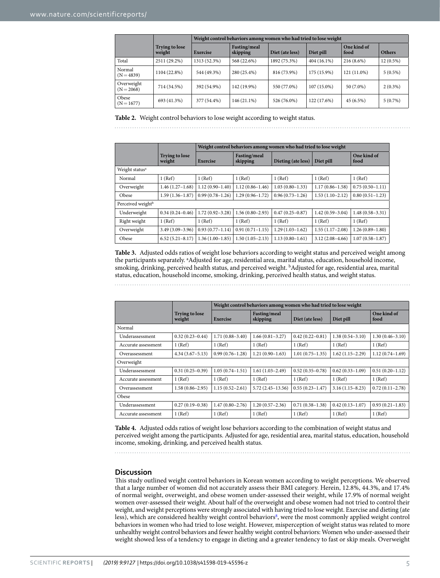<span id="page-4-0"></span>

|                            |                                 | Weight control behaviors among women who had tried to lose weight |                          |                 |               |                     |               |  |
|----------------------------|---------------------------------|-------------------------------------------------------------------|--------------------------|-----------------|---------------|---------------------|---------------|--|
|                            | <b>Trying to lose</b><br>weight | Exercise                                                          | Fasting/meal<br>skipping | Diet (ate less) | Diet pill     | One kind of<br>food | <b>Others</b> |  |
| Total                      | 2511 (29.2%)                    | 1313 (52.3%)                                                      | 568 (22.6%)              | 1892 (75.3%)    | $404(16.1\%)$ | $216(8.6\%)$        | $12(0.5\%)$   |  |
| Normal<br>$(N = 4839)$     | 1104 (22.8%)                    | 544 (49.3%)                                                       | 280 (25.4%)              | 816 (73.9%)     | 175 (15.9%)   | 121 (11.0%)         | $5(0.5\%)$    |  |
| Overweight<br>$(N = 2068)$ | 714 (34.5%)                     | 392 (54.9%)                                                       | 142 (19.9%)              | 550 (77.0%)     | $107(15.0\%)$ | 50 (7.0%)           | $2(0.3\%)$    |  |
| Obese<br>$(N = 1677)$      | 693 (41.3%)                     | 377 (54.4%)                                                       | 146 (21.1%)              | 526 (76.0%)     | 122 (17.6%)   | 45 (6.5%)           | $5(0.7\%)$    |  |

**Table 2.** Weight control behaviors to lose weight according to weight status.

<span id="page-4-1"></span>

|                               |                                 | Weight control behaviors among women who had tried to lose weight |                          |                     |                     |                     |  |  |
|-------------------------------|---------------------------------|-------------------------------------------------------------------|--------------------------|---------------------|---------------------|---------------------|--|--|
|                               | <b>Trying to lose</b><br>weight | <b>Exercise</b>                                                   | Fasting/meal<br>skipping | Dieting (ate less)  | Diet pill           | One kind of<br>food |  |  |
| Weight status <sup>a</sup>    |                                 |                                                                   |                          |                     |                     |                     |  |  |
| Normal                        | 1 (Ref)                         | 1 (Ref)                                                           | 1(Ref)                   | 1 (Ref)             | 1 (Ref)             | 1 (Ref)             |  |  |
| Overweight                    | $1.46(1.27-1.68)$               | $1.12(0.90 - 1.40)$                                               | $1.12(0.86 - 1.46)$      | $1.03(0.80 - 1.33)$ | $1.17(0.86 - 1.58)$ | $0.75(0.50-1.11)$   |  |  |
| Obese                         | $1.59(1.36-1.87)$               | $0.99(0.78 - 1.26)$                                               | $1.29(0.96 - 1.72)$      | $0.96(0.73 - 1.26)$ | $1.53(1.10-2.12)$   | $0.80(0.51 - 1.23)$ |  |  |
| Perceived weight <sup>b</sup> |                                 |                                                                   |                          |                     |                     |                     |  |  |
| Underweight                   | $0.34(0.24 - 0.46)$             | $1.72(0.92 - 3.28)$                                               | $1.56(0.80 - 2.93)$      | $0.47(0.25 - 0.87)$ | $1.42(0.59 - 3.04)$ | $1.48(0.58 - 3.31)$ |  |  |
| Right weight                  | 1 (Ref)                         | 1(Ref)                                                            | 1 (Ref)                  | 1 (Ref)             | 1 (Ref)             | 1 (Ref)             |  |  |
| Overweight                    | $3.49(3.09-3.96)$               | $0.93(0.77 - 1.14)$                                               | $0.91(0.71 - 1.15)$      | $1.29(1.03 - 1.62)$ | $1.55(1.17-2.08)$   | $1.26(0.89 - 1.80)$ |  |  |
| Obese                         | $6.52(5.21 - 8.17)$             | $1.36(1.00-1.85)$                                                 | $1.50(1.05 - 2.13)$      | $1.13(0.80 - 1.61)$ | $3.12(2.08-4.66)$   | $1.07(0.58 - 1.87)$ |  |  |

**Table 3.** Adjusted odds ratios of weight lose behaviors according to weight status and perceived weight among the participants separately. <sup>a</sup>Adjusted for age, residential area, marital status, education, household income, smoking, drinking, perceived health status, and perceived weight. b Adjusted for age, residential area, marital status, education, household income, smoking, drinking, perceived health status, and weight status.

<span id="page-4-2"></span>

|                     |                                 | Weight control behaviors among women who had tried to lose weight |                          |                     |                     |                     |  |
|---------------------|---------------------------------|-------------------------------------------------------------------|--------------------------|---------------------|---------------------|---------------------|--|
|                     | <b>Trying to lose</b><br>weight | Exercise                                                          | Fasting/meal<br>skipping | Diet (ate less)     | Diet pill           | One kind of<br>food |  |
| Normal              |                                 |                                                                   |                          |                     |                     |                     |  |
| Underassessment     | $0.32(0.23 - 0.44)$             | $1.71(0.88 - 3.40)$                                               | $1.66(0.81-3.27)$        | $0.42(0.22 - 0.81)$ | $1.38(0.54 - 3.10)$ | $1.30(0.46 - 3.10)$ |  |
| Accurate assessment | 1(Ref)                          | 1 (Ref)                                                           | 1 (Ref)                  | 1 (Ref)             | 1 (Ref)             | 1 (Ref)             |  |
| Overassessment      | $4.34(3.67 - 5.13)$             | $0.99(0.76 - 1.28)$                                               | $1.21(0.90-1.63)$        | $1.01(0.75 - 1.35)$ | $1.62(1.15-2.29)$   | $1.12(0.74-1.69)$   |  |
| Overweight          |                                 |                                                                   |                          |                     |                     |                     |  |
| Underassessment     | $0.31(0.25-0.39)$               | $1.05(0.74 - 1.51)$                                               | $1.61(1.03-2.49)$        | $0.52(0.35 - 0.78)$ | $0.62(0.33 - 1.09)$ | $0.51(0.20-1.12)$   |  |
| Accurate assessment | 1 (Ref)                         | 1(Ref)                                                            | 1 (Ref)                  | 1 (Ref)             | 1 (Ref)             | 1 (Ref)             |  |
| Overassessment      | $1.58(0.86 - 2.95)$             | $1.15(0.52 - 2.61)$                                               | $5.72(2.45 - 13.56)$     | $0.55(0.23 - 1.47)$ | $3.16(1.15 - 8.23)$ | $0.72(0.11 - 2.78)$ |  |
| Obese               |                                 |                                                                   |                          |                     |                     |                     |  |
| Underassessment     | $0.27(0.19-0.38)$               | $1.47(0.80 - 2.76)$                                               | $1.20(0.57-2.36)$        | $0.71(0.38-1.38)$   | $0.42(0.13 - 1.07)$ | $0.93(0.21 - 1.83)$ |  |
| Accurate assessment | 1 (Ref)                         | 1(Ref)                                                            | 1 (Ref)                  | 1 (Ref)             | 1 (Ref)             | 1 (Ref)             |  |

**Table 4.** Adjusted odds ratios of weight lose behaviors according to the combination of weight status and perceived weight among the participants. Adjusted for age, residential area, marital status, education, household income, smoking, drinking, and perceived health status.

#### **Discussion**

Tis study outlined weight control behaviors in Korean women according to weight perceptions. We observed that a large number of women did not accurately assess their BMI category. Herein, 12.8%, 44.3%, and 17.4% of normal weight, overweight, and obese women under-assessed their weight, while 17.9% of normal weight women over-assessed their weight. About half of the overweight and obese women had not tried to control their weight, and weight perceptions were strongly associated with having tried to lose weight. Exercise and dieting (ate less), which are considered healthy weight control behaviors<sup>[8](#page-6-7)</sup>, were the most commonly applied weight control behaviors in women who had tried to lose weight. However, misperception of weight status was related to more unhealthy weight control behaviors and fewer healthy weight control behaviors: Women who under-assessed their weight showed less of a tendency to engage in dieting and a greater tendency to fast or skip meals. Overweight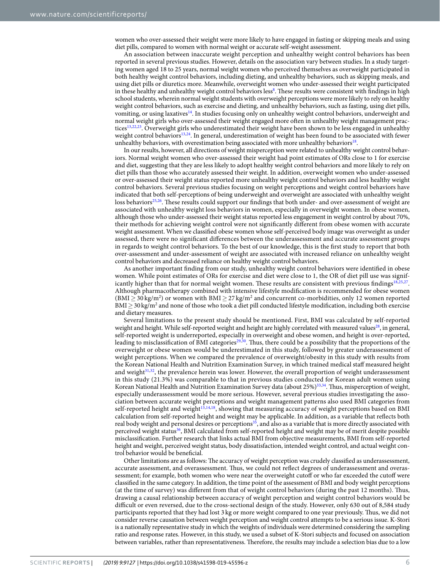women who over-assessed their weight were more likely to have engaged in fasting or skipping meals and using diet pills, compared to women with normal weight or accurate self-weight assessment.

An association between inaccurate weight perception and unhealthy weight control behaviors has been reported in several previous studies. However, details on the association vary between studies. In a study targeting women aged 18 to 25 years, normal weight women who perceived themselves as overweight participated in both healthy weight control behaviors, including dieting, and unhealthy behaviors, such as skipping meals, and using diet pills or diuretics more. Meanwhile, overweight women who under-assessed their weight participated in these healthy and unhealthy weight control behaviors less<sup>8</sup>. These results were consistent with findings in high school students, wherein normal weight students with overweight perceptions were more likely to rely on healthy weight control behaviors, such as exercise and dieting, and unhealthy behaviors, such as fasting, using diet pills, vomiting, or using laxative[s14.](#page-6-12) In studies focusing only on unhealthy weight control behaviors, underweight and normal weight girls who over-assessed their weight engaged more ofen in unhealthy weight management prac-tices<sup>[13,](#page-6-11)[22,](#page-6-21)23</sup>. Overweight girls who underestimated their weight have been shown to be less engaged in unhealthy weight control behaviors<sup>13,24</sup>. In general, underestimation of weight has been found to be associated with fewer unhealthy behaviors, with overestimation being associated with more unhealthy behaviors<sup>18</sup>.

In our results, however, all directions of weight misperception were related to unhealthy weight control behaviors. Normal weight women who over-assessed their weight had point estimates of ORs close to 1 for exercise and diet, suggesting that they are less likely to adopt healthy weight control behaviors and more likely to rely on diet pills than those who accurately assessed their weight. In addition, overweight women who under-assessed or over-assessed their weight status reported more unhealthy weight control behaviors and less healthy weight control behaviors. Several previous studies focusing on weight perceptions and weight control behaviors have indicated that both self-perceptions of being underweight and overweight are associated with unhealthy weight loss behaviors<sup>25,26</sup>. These results could support our findings that both under- and over-assessment of weight are associated with unhealthy weight loss behaviors in women, especially in overweight women. In obese women, although those who under-assessed their weight status reported less engagement in weight control by about 70%, their methods for achieving weight control were not signifcantly diferent from obese women with accurate weight assessment. When we classifed obese women whose self-perceived body image was overweight as under assessed, there were no signifcant diferences between the underassessment and accurate assessment groups in regards to weight control behaviors. To the best of our knowledge, this is the frst study to report that both over-assessment and under-assessment of weight are associated with increased reliance on unhealthy weight control behaviors and decreased reliance on healthy weight control behaviors.

As another important fnding from our study, unhealthy weight control behaviors were identifed in obese women. While point estimates of ORs for exercise and diet were close to 1, the OR of diet pill use was signif-icantly higher than that for normal weight women. These results are consistent with previous findings<sup>18,[25](#page-6-24),27</sup>. Although pharmacotherapy combined with intensive lifestyle modifcation is recommended for obese women  $(BMI \geq 30 \text{ kg/m}^2)$  or women with  $BMI \geq 27 \text{ kg/m}^2$  and concurrent co-morbidities, only 12 women reported BMI ≥ 30 kg/m<sup>2</sup> and none of those who took a diet pill conducted lifestyle modification, including both exercise and dietary measures.

Several limitations to the present study should be mentioned. First, BMI was calculated by self-reported weight and height. While self-reported weight and height are highly correlated with measured values<sup>28</sup>, in general, self-reported weight is underreported, especially in overweight and obese women, and height is over-reported, leading to misclassification of BMI categories<sup>29,30</sup>. Thus, there could be a possibility that the proportions of the overweight or obese women would be underestimated in this study, followed by greater underassessment of weight perceptions. When we compared the prevalence of overweight/obesity in this study with results from the Korean National Health and Nutrition Examination Survey, in which trained medical staf measured height and weight<sup>31[,32](#page-6-31)</sup>, the prevalence herein was lower. However, the overall proportion of weight underassessment in this study (21.3%) was comparable to that in previous studies conducted for Korean adult women using Korean National Health and Nutrition Examination Survey data (about 25%)[33](#page-6-32),[34](#page-6-33). Tus, misperception of weight, especially underassessment would be more serious. However, several previous studies investigating the association between accurate weight perceptions and weight management patterns also used BMI categories from self-reported height and weight<sup>[13](#page-6-11),[14](#page-6-12),18</sup>, showing that measuring accuracy of weight perceptions based on BMI calculation from self-reported height and weight may be applicable. In addition, as a variable that refects both real body weight and personal desires or perceptions<sup>35</sup>, and also as a variable that is more directly associated with perceived weight status<sup>36</sup>, BMI calculated from self-reported height and weight may be of merit despite possible misclassifcation. Further research that links actual BMI from objective measurements, BMI from self-reported height and weight, perceived weight status, body dissatisfaction, intended weight control, and actual weight control behavior would be benefcial.

Other limitations are as follows: The accuracy of weight perception was crudely classified as underassessment, accurate assessment, and overassessment. Tus, we could not refect degrees of underassessment and overassessment; for example, both women who were near the overweight cutof or who far exceeded the cutof were classifed in the same category. In addition, the time point of the assessment of BMI and body weight perceptions (at the time of survey) was diferent from that of weight control behaviors (during the past 12 months). Tus, drawing a causal relationship between accuracy of weight perception and weight control behaviors would be difficult or even reversed, due to the cross-sectional design of the study. However, only 630 out of 8,584 study participants reported that they had lost 3 kg or more weight compared to one year previously. Tus, we did not consider reverse causation between weight perception and weight control attempts to be a serious issue. K-Stori is a nationally representative study in which the weights of individuals were determined considering the sampling ratio and response rates. However, in this study, we used a subset of K-Stori subjects and focused on association between variables, rather than representativeness. Therefore, the results may include a selection bias due to a low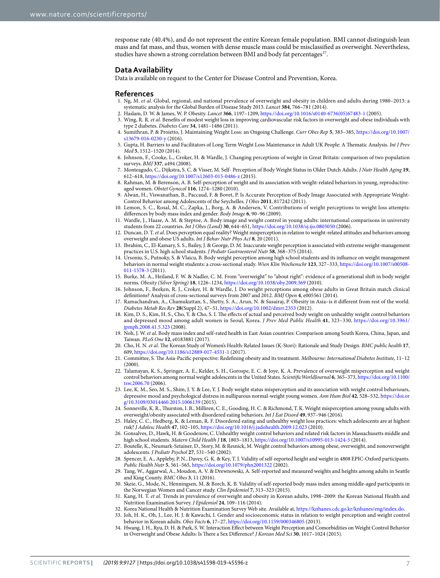response rate (40.4%), and do not represent the entire Korean female population. BMI cannot distinguish lean mass and fat mass, and thus, women with dense muscle mass could be misclassifed as overweight. Nevertheless, studies have shown a strong correlation between BMI and body fat percentages<sup>37</sup>.

#### **Data Availability**

Data is available on request to the Center for Disease Control and Prevention, Korea.

#### **References**

- <span id="page-6-0"></span>1. Ng, M. *et al*. Global, regional, and national prevalence of overweight and obesity in children and adults during 1980–2013: a systematic analysis for the Global Burden of Disease Study 2013. *Lancet* **384**, 766–781 (2014).
- <span id="page-6-5"></span><span id="page-6-4"></span><span id="page-6-3"></span><span id="page-6-2"></span><span id="page-6-1"></span>2. Haslam, D. W. & James, W. P. Obesity. *Lancet* **366**, 1197–1209, [https://doi.org/10.1016/s0140-6736\(05\)67483-1](https://doi.org/10.1016/s0140-6736(05)67483-1) (2005).
	- 3. Wing, R. R. *et al*. Benefts of modest weight loss in improving cardiovascular risk factors in overweight and obese individuals with type 2 diabetes. *Diabetes Care* **34**, 1481–1486 (2011).
	- 4. Sumithran, P. & Proietto, J. Maintaining Weight Loss: an Ongoing Challenge. *Curr Obes Rep* **5**, 383–385, [https://doi.org/10.1007/](https://doi.org/10.1007/s13679-016-0230-y) [s13679-016-0230-y](https://doi.org/10.1007/s13679-016-0230-y) (2016).
	- 5. Gupta, H. Barriers to and Facilitators of Long Term Weight Loss Maintenance in Adult UK People: A Tematic Analysis. *Int J Prev Med* **5**, 1512–1520 (2014).
	- 6. Johnson, F., Cooke, L., Croker, H. & Wardle, J. Changing perceptions of weight in Great Britain: comparison of two population surveys. *BMJ* **337**, a494 (2008).
	- 7. Monteagudo, C., Dijkstra, S. C. & Visser, M. Self- Perception of Body Weight Status in Older Dutch Adults. *J Nutr Health Aging* **19**, 612–618,<https://doi.org/10.1007/s12603-015-0486-z>(2015).
	- 8. Rahman, M. & Berenson, A. B. Self-perception of weight and its association with weight-related behaviors in young, reproductiveaged women. *Obstet Gynecol* **116**, 1274–1280 (2010).
	- 9. Alwan, H., Viswanathan, B., Paccaud, F. & Bovet, P. Is Accurate Perception of Body Image Associated with Appropriate Weight-Control Behavior among Adolescents of the Seychelles. *J Obes* **2011**, 817242 (2011).
- <span id="page-6-9"></span><span id="page-6-8"></span><span id="page-6-7"></span><span id="page-6-6"></span>10. Lemon, S. C., Rosal, M. C., Zapka, J., Borg, A. & Andersen, V. Contributions of weight perceptions to weight loss attempts: diferences by body mass index and gender. *Body Image* **6**, 90–96 (2009).
- <span id="page-6-17"></span>11. Wardle, J., Haase, A. M. & Steptoe, A. Body image and weight control in young adults: international comparisons in university students from 22 countries. *Int J Obes (Lond)* **30**, 644–651, <https://doi.org/10.1038/sj.ijo.0803050>(2006).
- <span id="page-6-10"></span>12. Duncan, D. T. *et al*. Does perception equal reality? Weight misperception in relation to weight-related attitudes and behaviors among overweight and obese US adults. *Int J Behav Nutr Phys Act* **8**, 20 (2011).
- <span id="page-6-11"></span>13. Ibrahim, C., El-Kamary, S. S., Bailey, J. & George, D. M. Inaccurate weight perception is associated with extreme weight-management practices in U.S. high school students. *J Pediatr Gastroenterol Nutr* **58**, 368–375 (2014).
- <span id="page-6-12"></span>14. Ursoniu, S., Putnoky, S. & Vlaicu, B. Body weight perception among high school students and its infuence on weight management behaviors in normal weight students: a cross-sectional study. *Wien Klin Wochenschr* **123**, 327–333, [https://doi.org/10.1007/s00508-](https://doi.org/10.1007/s00508-011-1578-3) [011-1578-3](https://doi.org/10.1007/s00508-011-1578-3) (2011).
- <span id="page-6-13"></span>15. Burke, M. A., Heiland, F. W. & Nadler, C. M. From "overweight" to "about right": evidence of a generational shif in body weight norms. *Obesity (Silver Spring)* **18**, 1226–1234, <https://doi.org/10.1038/oby.2009.369>(2010).
- <span id="page-6-14"></span>16. Johnson, F., Beeken, R. J., Croker, H. & Wardle, J. Do weight perceptions among obese adults in Great Britain match clinical defnitions? Analysis of cross-sectional surveys from 2007 and 2012. *BMJ Open* **4**, e005561 (2014).
- <span id="page-6-15"></span>17. Ramachandran, A., Chamukuttan, S., Shetty, S. A., Arun, N. & Susairaj, P. Obesity in Asia–is it diferent from rest of the world. *Diabetes Metab Res Rev* **28**(Suppl 2), 47–51,<https://doi.org/10.1002/dmrr.2353>(2012).
- <span id="page-6-16"></span>18. Kim, D. S., Kim, H. S., Cho, Y. & Cho, S. I. Te efects of actual and perceived body weight on unhealthy weight control behaviors and depressed mood among adult women in Seoul, Korea. *J Prev Med Public Health* **41**, 323–330, [https://doi.org/10.3961/](https://doi.org/10.3961/jpmph.2008.41.5.323) pmph.2008.41.5.323 (2008).
- <span id="page-6-18"></span>19. Noh, J. W. *et al*. Body mass index and self-rated health in East Asian countries: Comparison among South Korea, China, Japan, and Taiwan. *PLoS One* **12**, e0183881 (2017).
- <span id="page-6-19"></span>20. Cho, H. N. et al. The Korean Study of Women's Health-Related Issues (K-Stori): Rationale and Study Design. *BMC public health* 17, 609, <https://doi.org/10.1186/s12889-017-4531-1> (2017).
- <span id="page-6-20"></span>21. Committee, S. The Asia-Pacific perspective: Redefining obesity and its treatment. *Melbourne: International Diabetes Institute*, 11-12 (2000).
- <span id="page-6-21"></span>22. Talamayan, K. S., Springer, A. E., Kelder, S. H., Gorospe, E. C. & Joye, K. A. Prevalence of overweight misperception and weight control behaviors among normal weight adolescents in the United States. *ScientifcWorldJournal* **6**, 365–373, [https://doi.org/10.1100/](https://doi.org/10.1100/tsw.2006.70) [tsw.2006.70](https://doi.org/10.1100/tsw.2006.70) (2006).
- <span id="page-6-22"></span>Lee, K. M., Seo, M. S., Shim, J. Y. & Lee, Y. J. Body weight status misperception and its association with weight control behaviours, depressive mood and psychological distress in nulliparous normal-weight young women. *Ann Hum Biol* **42**, 528–532, [https://doi.or](https://doi.org/10.3109/03014460.2015.1006139) [g/10.3109/03014460.2015.1006139](https://doi.org/10.3109/03014460.2015.1006139) (2015).
- <span id="page-6-23"></span>24. Sonneville, K. R., Turston, I. B., Milliren, C. E., Gooding, H. C. & Richmond, T. K. Weight misperception among young adults with overweight/obesity associated with disordered eating behaviors. *Int J Eat Disord* **49**, 937–946 (2016).
- <span id="page-6-24"></span>25. Haley, C. C., Hedberg, K. & Leman, R. F. Disordered eating and unhealthy weight loss practices: which adolescents are at highest risk? *J Adolesc Health* **47**, 102–105, <https://doi.org/10.1016/j.jadohealth.2009.12.023>(2010).
- <span id="page-6-25"></span>26. Gonsalves, D., Hawk, H. & Goodenow, C. Unhealthy weight control behaviors and related risk factors in Massachusetts middle and high school students. *Matern Child Health J* **18**, 1803–1813,<https://doi.org/10.1007/s10995-013-1424-5>(2014).
- <span id="page-6-26"></span>27. Boutelle, K., Neumark-Sztainer, D., Story, M. & Resnick, M. Weight control behaviors among obese, overweight, and nonoverweight adolescents. *J Pediatr Psychol* **27**, 531–540 (2002).
- <span id="page-6-27"></span>28. Spencer, E. A., Appleby, P. N., Davey, G. K. & Key, T. J. Validity of self-reported height and weight in 4808 EPIC-Oxford participants. *Public Health Nutr* **5**, 561–565,<https://doi.org/10.1079/phn2001322> (2002).
- <span id="page-6-28"></span>29. Tang, W., Aggarwal, A., Moudon, A. V. & Drewnowski, A. Self-reported and measured weights and heights among adults in Seattle and King County. *BMC Obes* **3**, 11 (2016).
- <span id="page-6-29"></span>30. Skeie, G., Mode, N., Henningsen, M. & Borch, K. B. Validity of self-reported body mass index among middle-aged participants in the Norwegian Women and Cancer study. *Clin Epidemiol* **7**, 313–323 (2015).
- <span id="page-6-30"></span>31. Kang, H. T. *et al*. Trends in prevalence of overweight and obesity in Korean adults, 1998–2009: the Korean National Health and Nutrition Examination Survey. *J Epidemiol* **24**, 109–116 (2014).
- <span id="page-6-31"></span>32. Korea National Health & Nutrition Examination Survey Web site. Available at,<https://knhanes.cdc.go.kr/knhanes/eng/index.do>.
- <span id="page-6-32"></span>33. Joh, H. K., Oh, J., Lee, H. J. & Kawachi, I. Gender and socioeconomic status in relation to weight perception and weight control behavior in Korean adults. *Obes Facts* **6**, 17–27, <https://doi.org/10.1159/000346805> (2013).
- <span id="page-6-33"></span>34. Hwang, J. H., Ryu, D. H. & Park, S. W. Interaction Efect between Weight Perception and Comorbidities on Weight Control Behavior in Overweight and Obese Adults: Is There a Sex Difference? *J Korean Med Sci* 30, 1017-1024 (2015).